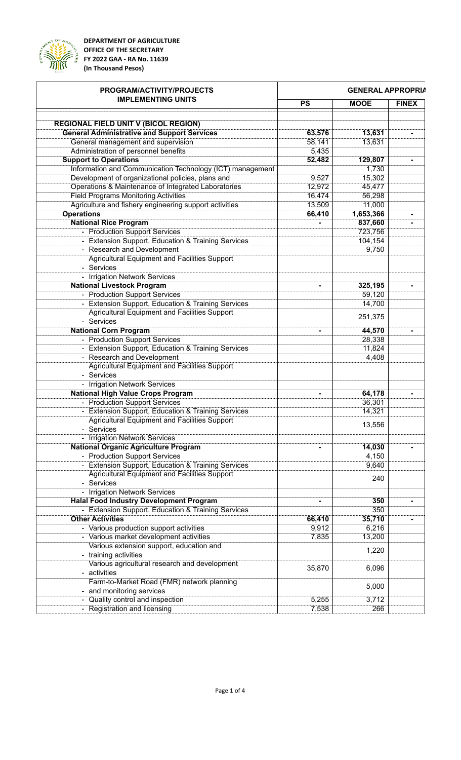

**DEPARTMENT OF AGRICULTURE OFFICE OF THE SECRETARY FY 2022 GAA - RA No. 11639 (In Thousand Pesos)**

| PROGRAM/ACTIVITY/PROJECTS<br><b>IMPLEMENTING UNITS</b>      | <b>GENERAL APPROPRIA</b> |             |              |
|-------------------------------------------------------------|--------------------------|-------------|--------------|
|                                                             | <b>PS</b>                | <b>MOOE</b> | <b>FINEX</b> |
|                                                             |                          |             |              |
| <b>REGIONAL FIELD UNIT V (BICOL REGION)</b>                 |                          |             |              |
| <b>General Administrative and Support Services</b>          | 63,576                   | 13,631      |              |
| General management and supervision                          | 58,141                   | 13,631      |              |
| Administration of personnel benefits                        | 5,435                    |             |              |
| <b>Support to Operations</b>                                | 52,482                   | 129,807     |              |
| Information and Communication Technology (ICT) management   |                          | 1,730       |              |
| Development of organizational policies, plans and           | 9,527                    | 15,302      |              |
| Operations & Maintenance of Integrated Laboratories         | 12,972                   | 45,477      |              |
| <b>Field Programs Monitoring Activities</b>                 | 16,474                   | 56,298      |              |
| Agriculture and fishery engineering support activities      | 13,509                   | 11,000      |              |
|                                                             |                          |             |              |
| <b>Operations</b>                                           | 66,410                   | 1,653,366   |              |
| <b>National Rice Program</b>                                |                          | 837,660     |              |
| - Production Support Services                               |                          | 723,756     |              |
| - Extension Support, Education & Training Services          |                          | 104,154     |              |
| - Research and Development                                  |                          | 9,750       |              |
| Agricultural Equipment and Facilities Support               |                          |             |              |
| - Services                                                  |                          |             |              |
| <b>Irrigation Network Services</b>                          |                          |             |              |
| <b>National Livestock Program</b>                           |                          | 325,195     |              |
| <b>Production Support Services</b>                          |                          | 59,120      |              |
| <b>Extension Support, Education &amp; Training Services</b> |                          | 14,700      |              |
| <b>Agricultural Equipment and Facilities Support</b>        |                          |             |              |
| - Services                                                  |                          | 251,375     |              |
|                                                             |                          |             |              |
| <b>National Corn Program</b>                                |                          | 44,570      |              |
| - Production Support Services                               |                          | 28,338      |              |
| - Extension Support, Education & Training Services          |                          | 11,824      |              |
| - Research and Development                                  |                          | 4,408       |              |
| <b>Agricultural Equipment and Facilities Support</b>        |                          |             |              |
| - Services                                                  |                          |             |              |
| - Irrigation Network Services                               |                          |             |              |
| <b>National High Value Crops Program</b>                    |                          | 64,178      |              |
| - Production Support Services                               |                          | 36,301      |              |
| - Extension Support, Education & Training Services          |                          | 14,321      |              |
| Agricultural Equipment and Facilities Support               |                          |             |              |
| - Services                                                  |                          | 13,556      |              |
|                                                             |                          |             |              |
| - Irrigation Network Services                               |                          |             |              |
| <b>National Organic Agriculture Program</b>                 |                          | 14,030      |              |
| - Production Support Services                               |                          | 4,150       |              |
| - Extension Support, Education & Training Services          |                          | 9,640       |              |
| <b>Agricultural Equipment and Facilities Support</b>        |                          |             |              |
| - Services                                                  |                          | 240         |              |
| - Irrigation Network Services                               |                          |             |              |
| <b>Halal Food Industry Development Program</b>              |                          | 350         |              |
| - Extension Support, Education & Training Services          |                          | 350         |              |
| <b>Other Activities</b>                                     | 66,410                   | 35,710      |              |
|                                                             |                          |             |              |
| - Various production support activities                     | 9,912                    | 6,216       |              |
| - Various market development activities                     | 7,835                    | 13,200      |              |
| Various extension support, education and                    |                          | 1,220       |              |
| training activities                                         |                          |             |              |
| Various agricultural research and development               | 35,870                   | 6,096       |              |
| activities                                                  |                          |             |              |
| Farm-to-Market Road (FMR) network planning                  |                          |             |              |
| and monitoring services                                     |                          | 5,000       |              |
| Quality control and inspection                              | 5,255                    | 3,712       |              |
| - Registration and licensing                                | 7,538                    | 266         |              |
|                                                             |                          |             |              |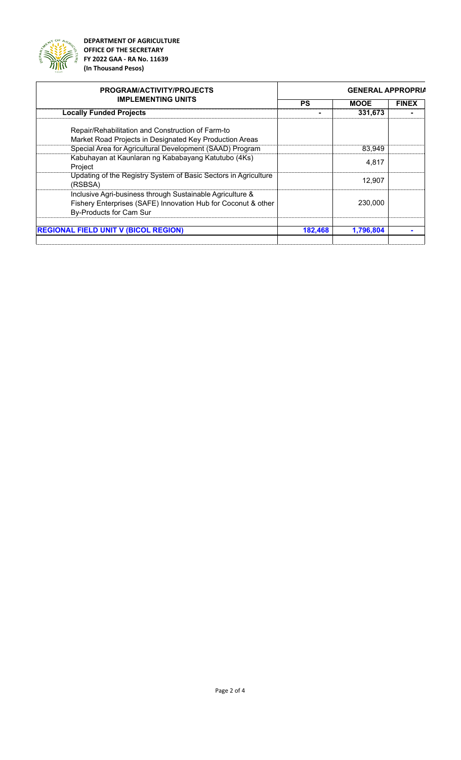

**DEPARTMENT OF AGRICULTURE OFFICE OF THE SECRETARY FY 2022 GAA - RA No. 11639 (In Thousand Pesos)**

| <b>PROGRAM/ACTIVITY/PROJECTS</b>                                                                                                                      | <b>GENERAL APPROPRIA</b> |             |              |
|-------------------------------------------------------------------------------------------------------------------------------------------------------|--------------------------|-------------|--------------|
| <b>IMPLEMENTING UNITS</b>                                                                                                                             | PS                       | <b>MOOE</b> | <b>FINEX</b> |
| <b>Locally Funded Projects</b>                                                                                                                        |                          | 331,673     |              |
| Repair/Rehabilitation and Construction of Farm-to                                                                                                     |                          |             |              |
| Market Road Projects in Designated Key Production Areas                                                                                               |                          |             |              |
| Special Area for Agricultural Development (SAAD) Program                                                                                              |                          | 83,949      |              |
| Kabuhayan at Kaunlaran ng Kababayang Katutubo (4Ks)<br>Project                                                                                        |                          | 4.817       |              |
| Updating of the Registry System of Basic Sectors in Agriculture<br>(RSBSA)                                                                            |                          | 12.907      |              |
| Inclusive Agri-business through Sustainable Agriculture &<br>Fishery Enterprises (SAFE) Innovation Hub for Coconut & other<br>By-Products for Cam Sur |                          | 230,000     |              |
| <b>REGIONAL FIELD UNIT V (BICOL REGION)</b>                                                                                                           | 182.468                  | 1,796,804   |              |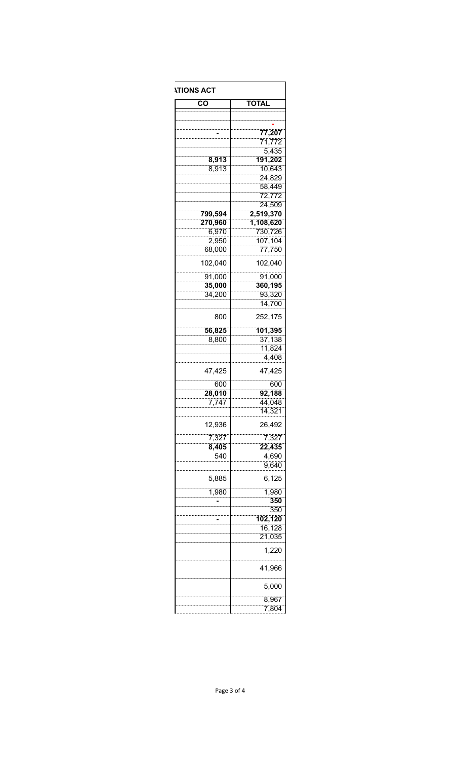| <b><i>ITIONS ACT</i></b> |                     |  |  |  |
|--------------------------|---------------------|--|--|--|
| CO                       | <b>TOTAL</b>        |  |  |  |
|                          |                     |  |  |  |
|                          |                     |  |  |  |
|                          | 77,207<br>71,772    |  |  |  |
|                          | 5,435               |  |  |  |
| 8,913                    | 191,202             |  |  |  |
| 8,913                    | 10,643              |  |  |  |
|                          | 24,829              |  |  |  |
|                          | 58,449              |  |  |  |
|                          | 72,772              |  |  |  |
|                          | 24,509<br>2,519,370 |  |  |  |
| 799,594<br>270,960       | 1,108,620           |  |  |  |
| 6,970                    | 730,726             |  |  |  |
| 2,950                    | 107,104             |  |  |  |
| 68,000                   | 77,750              |  |  |  |
| 102,040                  |                     |  |  |  |
|                          | 102,040             |  |  |  |
| 91,000                   | 91,000              |  |  |  |
| 35,000                   | 360,195             |  |  |  |
| 34,200                   | 93,320<br>14,700    |  |  |  |
| 800                      | 252,175             |  |  |  |
|                          |                     |  |  |  |
| 56,825                   | 101,395             |  |  |  |
| 8,800                    | 37,138<br>11,824    |  |  |  |
|                          | 4,408               |  |  |  |
| 47,425                   | 47,425              |  |  |  |
| 600                      | 600                 |  |  |  |
| 28,010                   | 92,188              |  |  |  |
| 7,747                    | 44,048              |  |  |  |
|                          | 14,321              |  |  |  |
| 12,936                   | 26,492              |  |  |  |
| 7,327                    | 7,327               |  |  |  |
| 8,405                    | 22,435              |  |  |  |
| 540                      | 4,690               |  |  |  |
|                          | 9,640               |  |  |  |
| 5,885                    | 6,125               |  |  |  |
| 1,980                    | 1,980               |  |  |  |
|                          | 350<br>350          |  |  |  |
|                          | 102,120             |  |  |  |
|                          | 16,128              |  |  |  |
|                          | 21,035              |  |  |  |
|                          | 1,220               |  |  |  |
|                          | 41,966              |  |  |  |
|                          | 5,000               |  |  |  |
|                          | 8,967               |  |  |  |
|                          | 7,804               |  |  |  |